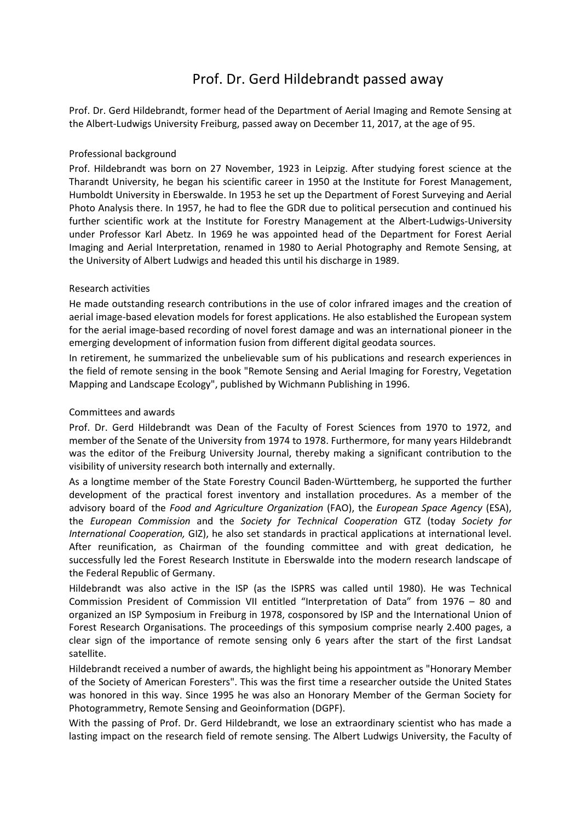## Prof. Dr. Gerd Hildebrandt passed away

Prof. Dr. Gerd Hildebrandt, former head of the Department of Aerial Imaging and Remote Sensing at the Albert-Ludwigs University Freiburg, passed away on December 11, 2017, at the age of 95.

## Professional background

Prof. Hildebrandt was born on 27 November, 1923 in Leipzig. After studying forest science at the Tharandt University, he began his scientific career in 1950 at the Institute for Forest Management, Humboldt University in Eberswalde. In 1953 he set up the Department of Forest Surveying and Aerial Photo Analysis there. In 1957, he had to flee the GDR due to political persecution and continued his further scientific work at the Institute for Forestry Management at the Albert-Ludwigs-University under Professor Karl Abetz. In 1969 he was appointed head of the Department for Forest Aerial Imaging and Aerial Interpretation, renamed in 1980 to Aerial Photography and Remote Sensing, at the University of Albert Ludwigs and headed this until his discharge in 1989.

## Research activities

He made outstanding research contributions in the use of color infrared images and the creation of aerial image-based elevation models for forest applications. He also established the European system for the aerial image-based recording of novel forest damage and was an international pioneer in the emerging development of information fusion from different digital geodata sources.

In retirement, he summarized the unbelievable sum of his publications and research experiences in the field of remote sensing in the book "Remote Sensing and Aerial Imaging for Forestry, Vegetation Mapping and Landscape Ecology", published by Wichmann Publishing in 1996.

## Committees and awards

Prof. Dr. Gerd Hildebrandt was Dean of the Faculty of Forest Sciences from 1970 to 1972, and member of the Senate of the University from 1974 to 1978. Furthermore, for many years Hildebrandt was the editor of the Freiburg University Journal, thereby making a significant contribution to the visibility of university research both internally and externally.

As a longtime member of the State Forestry Council Baden-Württemberg, he supported the further development of the practical forest inventory and installation procedures. As a member of the advisory board of the *Food and Agriculture Organization* (FAO), the *European Space Agency* (ESA), the *European Commission* and the *Society for Technical Cooperation* GTZ (today *Society for International Cooperation,* GIZ), he also set standards in practical applications at international level. After reunification, as Chairman of the founding committee and with great dedication, he successfully led the Forest Research Institute in Eberswalde into the modern research landscape of the Federal Republic of Germany.

Hildebrandt was also active in the ISP (as the ISPRS was called until 1980). He was Technical Commission President of Commission VII entitled "Interpretation of Data" from 1976 – 80 and organized an ISP Symposium in Freiburg in 1978, cosponsored by ISP and the International Union of Forest Research Organisations. The proceedings of this symposium comprise nearly 2.400 pages, a clear sign of the importance of remote sensing only 6 years after the start of the first Landsat satellite.

Hildebrandt received a number of awards, the highlight being his appointment as "Honorary Member of the Society of American Foresters". This was the first time a researcher outside the United States was honored in this way. Since 1995 he was also an Honorary Member of the German Society for Photogrammetry, Remote Sensing and Geoinformation (DGPF).

With the passing of Prof. Dr. Gerd Hildebrandt, we lose an extraordinary scientist who has made a lasting impact on the research field of remote sensing. The Albert Ludwigs University, the Faculty of